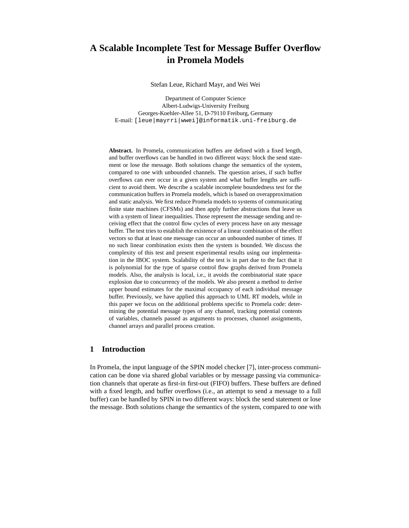# **A Scalable Incomplete Test for Message Buffer Overflow in Promela Models**

Stefan Leue, Richard Mayr, and Wei Wei

Department of Computer Science Albert-Ludwigs-University Freiburg Georges-Koehler-Allee 51, D-79110 Freiburg, Germany E-mail: [leue|mayrri|wwei]@informatik.uni-freiburg.de

**Abstract.** In Promela, communication buffers are defined with a fixed length, and buffer overflows can be handled in two different ways: block the send statement or lose the message. Both solutions change the semantics of the system, compared to one with unbounded channels. The question arises, if such buffer overflows can ever occur in a given system and what buffer lengths are sufficient to avoid them. We describe a scalable incomplete boundedness test for the communication buffers in Promela models, which is based on overapproximation and static analysis. We first reduce Promela models to systems of communicating finite state machines (CFSMs) and then apply further abstractions that leave us with a system of linear inequalities. Those represent the message sending and receiving effect that the control flow cycles of every process have on any message buffer. The test tries to establish the existence of a linear combination of the effect vectors so that at least one message can occur an unbounded number of times. If no such linear combination exists then the system is bounded. We discuss the complexity of this test and present experimental results using our implementation in the IBOC system. Scalability of the test is in part due to the fact that it is polynomial for the type of sparse control flow graphs derived from Promela models. Also, the analysis is local, i.e., it avoids the combinatorial state space explosion due to concurrency of the models. We also present a method to derive upper bound estimates for the maximal occupancy of each individual message buffer. Previously, we have applied this approach to UML RT models, while in this paper we focus on the additional problems specific to Promela code: determining the potential message types of any channel, tracking potential contents of variables, channels passed as arguments to processes, channel assignments, channel arrays and parallel process creation.

# **1 Introduction**

In Promela, the input language of the SPIN model checker [7], inter-process communication can be done via shared global variables or by message passing via communication channels that operate as first-in first-out (FIFO) buffers. These buffers are defined with a fixed length, and buffer overflows (i.e., an attempt to send a message to a full buffer) can be handled by SPIN in two different ways: block the send statement or lose the message. Both solutions change the semantics of the system, compared to one with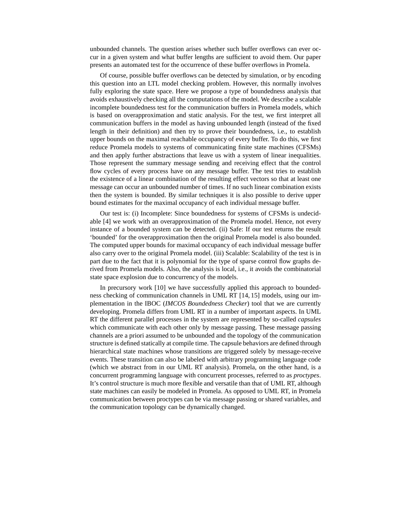unbounded channels. The question arises whether such buffer overflows can ever occur in a given system and what buffer lengths are sufficient to avoid them. Our paper presents an automated test for the occurrence of these buffer overflows in Promela.

Of course, possible buffer overflows can be detected by simulation, or by encoding this question into an LTL model checking problem. However, this normally involves fully exploring the state space. Here we propose a type of boundedness analysis that avoids exhaustively checking all the computations of the model. We describe a scalable incomplete boundedness test for the communication buffers in Promela models, which is based on overapproximation and static analysis. For the test, we first interpret all communication buffers in the model as having unbounded length (instead of the fixed length in their definition) and then try to prove their boundedness, i.e., to establish upper bounds on the maximal reachable occupancy of every buffer. To do this, we first reduce Promela models to systems of communicating finite state machines (CFSMs) and then apply further abstractions that leave us with a system of linear inequalities. Those represent the summary message sending and receiving effect that the control flow cycles of every process have on any message buffer. The test tries to establish the existence of a linear combination of the resulting effect vectors so that at least one message can occur an unbounded number of times. If no such linear combination exists then the system is bounded. By similar techniques it is also possible to derive upper bound estimates for the maximal occupancy of each individual message buffer.

Our test is: (i) Incomplete: Since boundedness for systems of CFSMs is undecidable [4] we work with an overapproximation of the Promela model. Hence, not every instance of a bounded system can be detected. (ii) Safe: If our test returns the result 'bounded' for the overapproximation then the original Promela model is also bounded. The computed upper bounds for maximal occupancy of each individual message buffer also carry over to the original Promela model. (iii) Scalable: Scalability of the test is in part due to the fact that it is polynomial for the type of sparse control flow graphs derived from Promela models. Also, the analysis is local, i.e., it avoids the combinatorial state space explosion due to concurrency of the models.

In precursory work [10] we have successfully applied this approach to boundedness checking of communication channels in UML RT [14, 15] models, using our implementation in the IBOC (*IMCOS Boundedness Checker*) tool that we are currently developing. Promela differs from UML RT in a number of important aspects. In UML RT the different parallel processes in the system are represented by so-called *capsules* which communicate with each other only by message passing. These message passing channels are a priori assumed to be unbounded and the topology of the communication structure is defined statically at compile time. The capsule behaviors are defined through hierarchical state machines whose transitions are triggered solely by message-receive events. These transition can also be labeled with arbitrary programming language code (which we abstract from in our UML RT analysis). Promela, on the other hand, is a concurrent programming language with concurrent processes, referred to as *proctypes*. It's control structure is much more flexible and versatile than that of UML RT, although state machines can easily be modeled in Promela. As opposed to UML RT, in Promela communication between proctypes can be via message passing or shared variables, and the communication topology can be dynamically changed.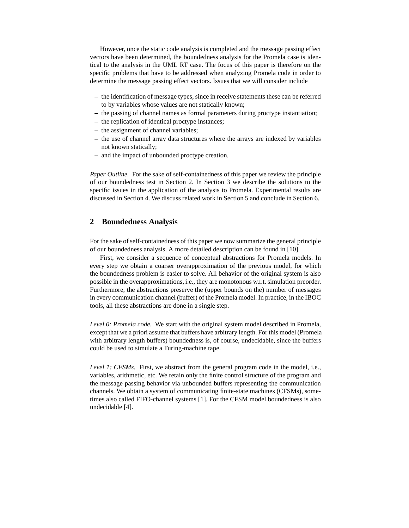However, once the static code analysis is completed and the message passing effect vectors have been determined, the boundedness analysis for the Promela case is identical to the analysis in the UML RT case. The focus of this paper is therefore on the specific problems that have to be addressed when analyzing Promela code in order to determine the message passing effect vectors. Issues that we will consider include

- **–** the identification of message types, since in receive statements these can be referred to by variables whose values are not statically known;
- **–** the passing of channel names as formal parameters during proctype instantiation;
- **–** the replication of identical proctype instances;
- **–** the assignment of channel variables;
- **–** the use of channel array data structures where the arrays are indexed by variables not known statically;
- **–** and the impact of unbounded proctype creation.

*Paper Outline.* For the sake of self-containedness of this paper we review the principle of our boundedness test in Section 2. In Section 3 we describe the solutions to the specific issues in the application of the analysis to Promela. Experimental results are discussed in Section 4. We discuss related work in Section 5 and conclude in Section 6.

# **2 Boundedness Analysis**

For the sake of self-containedness of this paper we now summarize the general principle of our boundedness analysis. A more detailed description can be found in [10].

First, we consider a sequence of conceptual abstractions for Promela models. In every step we obtain a coarser overapproximation of the previous model, for which the boundedness problem is easier to solve. All behavior of the original system is also possible in the overapproximations, i.e., they are monotonous w.r.t. simulation preorder. Furthermore, the abstractions preserve the (upper bounds on the) number of messages in every communication channel (buffer) of the Promela model. In practice, in the IBOC tools, all these abstractions are done in a single step.

*Level 0: Promela code.* We start with the original system model described in Promela, except that we a priori assume that buffers have arbitrary length. For this model (Promela with arbitrary length buffers) boundedness is, of course, undecidable, since the buffers could be used to simulate a Turing-machine tape.

*Level 1: CFSMs.* First, we abstract from the general program code in the model, i.e., variables, arithmetic, etc. We retain only the finite control structure of the program and the message passing behavior via unbounded buffers representing the communication channels. We obtain a system of communicating finite-state machines (CFSMs), sometimes also called FIFO-channel systems [1]. For the CFSM model boundedness is also undecidable [4].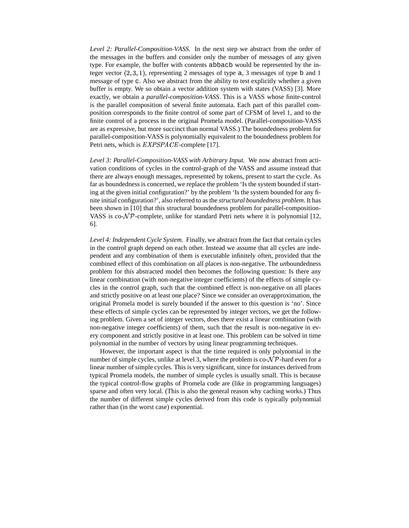*Level 2: Parallel-Composition-VASS.* In the next step we abstract from the order of the messages in the buffers and consider only the number of messages of any given type. For example, the buffer with contents abbacb would be represented by the integer vector  $(2,3,1)$ , representing 2 messages of type a, 3 messages of type b and 1 message of type c. Also we abstract from the ability to test explicitly whether a given buffer is empty. We so obtain a vector addition system with states (VASS) [3]. More exactly, we obtain a *parallel-composition-VASS*. This is a VASS whose finite-control is the parallel composition of several finite automata. Each part of this parallel composition corresponds to the finite control of some part of CFSM of level 1, and to the finite control of a process in the original Promela model. (Parallel-composition-VASS are as expressive, but more succinct than normal VASS.) The boundedness problem for parallel-composition-VASS is polynomially equivalent to the boundedness problem for Petri nets, which is  $EXPSPACE$ -complete [17].

*Level 3: Parallel-Composition-VASS with Arbitrary Input.* We now abstract from activation conditions of cycles in the control-graph of the VASS and assume instead that there are always enough messages, represented by tokens, present to start the cycle. As far as boundedness is concerned, we replace the problem 'Is the system bounded if starting at the given initial configuration?' by the problem 'Is the system bounded for any finite initial configuration?', also referred to asthe *structural boundedness problem*. It has been shown in [10] that this structural boundedness problem for parallel-composition-VASS is co- $\mathcal{NP}$ -complete, unlike for standard Petri nets where it is polynomial [12, 6].

*Level 4: Independent Cycle System.* Finally, we abstract from the fact that certain cycles in the control graph depend on each other. Instead we assume that all cycles are independent and any combination of them is executable infinitely often, provided that the combined effect of this combination on all places is non-negative. The *un*boundedness problem for this abstracted model then becomes the following question: Is there any linear combination (with non-negative integer coefficients) of the effects of simple cycles in the control graph, such that the combined effect is non-negative on all places and strictly positive on at least one place? Since we consider an overapproximation, the original Promela model is surely bounded if the answer to this question is 'no'. Since these effects of simple cycles can be represented by integer vectors, we get the following problem. Given a set of integer vectors, does there exist a linear combination (with non-negative integer coefficients) of them, such that the result is non-negative in every component and strictly positive in at least one. This problem can be solved in time polynomial in the number of vectors by using linear programming techniques.

However, the important aspect is that the time required is only polynomial in the number of simple cycles, unlike at level 3, where the problem is  $co$ - $\mathcal{NP}$ -hard even for a linear number of simple cycles. This is very significant, since for instances derived from typical Promela models, the number of simple cycles is usually small. This is because the typical control-flow graphs of Promela code are (like in programming languages) sparse and often very local. (This is also the general reason why caching works.) Thus the number of different simple cycles derived from this code is typically polynomial rather than (in the worst case) exponential.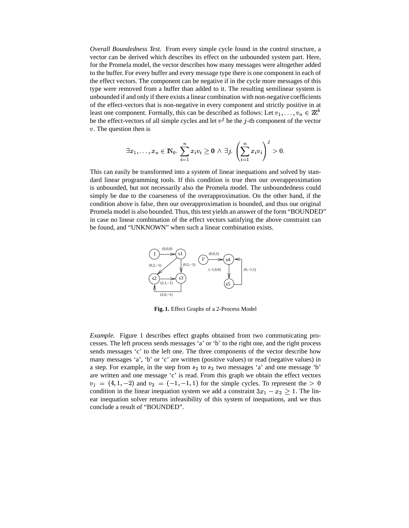*Overall Boundedness Test.* From every simple cycle found in the control structure, a vector can be derived which describes its effect on the unbounded system part. Here, for the Promela model, the vector describes how many messages were altogether added to the buffer. For every buffer and every message type there is one component in each of the effect vectors. The component can be negative if in the cycle more messages of this type were removed from a buffer than added to it. The resulting semilinear system is unbounded if and only if there exists a linear combination with non-negative coefficients of the effect-vectors that is non-negative in every component and strictly positive in at least one component. Formally, this can be described as follows: Let  $v_1, \ldots, v_n \in \mathbb{Z}^k$ be the effect-vectors of all simple cycles and let  $v^j$  be the j-th component of the vector  $v$ . The question then is

$$
\exists x_1,\ldots,x_n\in\mathbb{N}_0.\ \sum_{i=1}^n x_i v_i\geq \mathbf{0}\ \wedge\ \exists j.\ \left(\sum_{i=1}^n x_i v_i\right)^j>0.
$$

3<;

This can easily be transformed into a system of linear inequations and solved by standard linear programming tools. If this condition is true then our overapproximation is unbounded, but not necessarily also the Promela model. The unboundedness could simply be due to the coarseness of the overapproximation. On the other hand, if the condition above is false, then our overapproximation is bounded, and thus our original Promela model is also bounded. Thus, thistest yields an answer of the form "BOUNDED" in case no linear combination of the effect vectors satisfying the above constraint can be found, and "UNKNOWN" when such a linear combination exists.



**Fig. 1.** Effect Graphs of a 2-Process Model

*Example.* Figure 1 describes effect graphs obtained from two communicating processes. The left process sends messages 'a' or 'b' to the right one, and the right process sends messages 'c' to the left one. The three components of the vector describe how many messages 'a', 'b' or 'c' are written (positive values) or read (negative values) in a step. For example, in the step from  $s_2$  to  $s_3$  two messages 'a' and one message 'b' are written and one message 'c' is read. From this graph we obtain the effect vectors  $v_1 = (4, 1, -2)$  and  $v_2 = (-1, -1, 1)$  for the simple cycles. To represent the  $> 0$  condition in the linear inequation system we add a constraint  $3x_1 - x_2 > 1$ . The lincondition in the linear inequation system we add a constraint  $3x_1 - x_2 \ge 1$ . The linear inequation solver returns infeasibility of this system of inequations, and we thus conclude a result of "BOUNDED".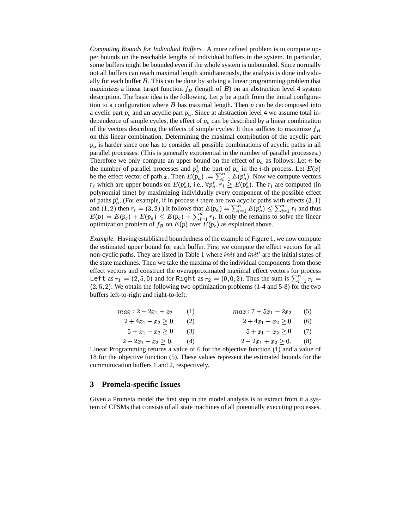*Computing Bounds for Individual Buffers.* A more refined problem is to compute upper bounds on the reachable lengths of individual buffers in the system. In particular, some buffers might be bounded even if the whole system is unbounded. Since normally not all buffers can reach maximal length simultaneously, the analysis is done individually for each buffer  $B$ . This can be done by solving a linear programming problem that maximizes a linear target function  $f_B$  (length of B) on an abstraction level 4 system description. The basic idea is the following. Let  $p$  be a path from the initial configuration to a configuration where  $B$  has maximal length. Then  $p$  can be decomposed into a cyclic part  $p_c$  and an acyclic part  $p_a$ . Since at abstraction level 4 we assume total independence of simple cycles, the effect of  $p_c$  can be described by a linear combination of the vectors describing the effects of simple cycles. It thus suffices to maximize  $f_B$ on this linear combination. Determining the maximal contribution of the acyclic part  $p_a$  is harder since one has to consider all possible combinations of acyclic paths in all parallel processes. (This is generally exponential in the number of parallel processes.) Therefore we only compute an upper bound on the effect of  $p_a$  as follows: Let n be the number of parallel processes and  $p_a^i$  the part of  $p_a$  in the *i*-th process. Let  $E(x)$ the number of parallel processes and  $p_a^t$  the part of  $p_a$  in the *i*-th prooble the effect vector of path x. Then  $E(p_a) := \sum_{i=1}^n E(p_a^i)$ . Now we contain be the effect vector of path x. Then  $E(p_a) := \sum_{i=1}^n E(p_a^i)$ . Now we compute vectors  $r_i$  which are upper bounds on  $E(p_a^i)$ , i.e.,  $\forall p_a^i$ .  $r_i \geq E(p_a^i)$ . The  $r_i$  are computed (in . . . .  $\frac{3}{2}$   $\frac{3}{2}$   $\frac{3}{2}$   $\frac{3}{2}$   $\frac{3}{2}$   $\frac{3}{2}$   $\frac{3}{2}$   $\frac{3}{2}$   $\frac{3}{2}$   $\frac{3}{2}$   $\frac{3}{2}$   $\frac{3}{2}$   $\frac{3}{2}$   $\frac{3}{2}$   $\frac{3}{2}$   $\frac{3}{2}$   $\frac{3}{2}$   $\frac{3}{2}$   $\frac{3}{2}$   $\frac{3}{2}$   $\frac{3}{2}$   $\frac{3}{2}$   $\sim$  . The contract of the contract of the contract of the contract of the contract of the contract of the contract of the contract of the contract of the contract of the contract of the contract of the contract of the co polynomial time) by maximizing individually every component of the possible effect <sup>3</sup> of paths  $p_a^i$ . (For example, if in process i there are two acyclic paths with effects  $(3, 1)$ of paths  $p_a^*$ . (For example, if in process *i* there are two acyclic paths with effer and  $(1, 2)$  then  $r_i = (3, 2)$ .) It follows that  $E(p_a) = \sum_{i=1}^n E(p_a^i) \le \sum_{i=1}^n r_i$ ths with effects  $(3, 1)$ <br> $) \le \sum_{i=1}^{n} r_i$  and thus and  $(1, 2)$  then  $r_i = (3, 2)$ . It follows that  $E(p_a) = \sum_{i=1}^{n} F(i)$ <br>  $E(p_i) = E(p_c) + E(p_a) \leq E(p_c) + \sum_{i=1}^{n} r_i$ . It only 33 September 2014 . It only the remains to solve the linear optimization problem of  $f_B$  on  $E(p)$  over  $E(p_c)$  as explained above.

*Example.* Having established boundedness of the example of Figure 1, we now compute the estimated upper bound for each buffer. First we compute the effect vectors for all non-cyclic paths. They are listed in Table 1 where *init* and *init'* are the initial states of the state machines. Then we take the maxima of the individual components from those effect vectors and construct the overapproximated maximal effect vectors for process Left as  $r_1 = (2, 5, 0)$  and for Right as  $r_2 = (0, 0, 2)$ . Thus d maximal effect vectors for process  $(0, 0, 2)$ . Thus the sum is  $\sum_{i=1}^{n} r_i =$  $(2, 5, 2)$ . We obtain the following two optimization problems  $(1-4 \text{ and } 5-8)$  for the two buffers left-to-right and right-to-left:

| $max: 2-2x_1+x_2$ (1)       | $max: 7 + 5x_1 - 2x_2$ (5) |  |
|-----------------------------|----------------------------|--|
| $2 + 4x_1 - x_2 \ge 0$ (2)  | $2 + 4x_1 - x_2 \ge 0$ (6) |  |
| $5 + x_1 - x_2 \ge 0$ (3)   | $5 + x_1 - x_2 \ge 0$ (7)  |  |
| $2 - 2x_1 + x_2 \ge 0.$ (4) | $2-2x_1+x_2 \ge 0.$ (8)    |  |

Linear Programming returns a value of 6 for the objective function (1) and a value of 18 for the objective function (5). These values represent the estimated bounds for the communication buffers 1 and 2, respectively.

## **3 Promela-specific Issues**

Given a Promela model the first step in the model analysis is to extract from it a system of CFSMs that consists of all state machines of all potentially executing processes.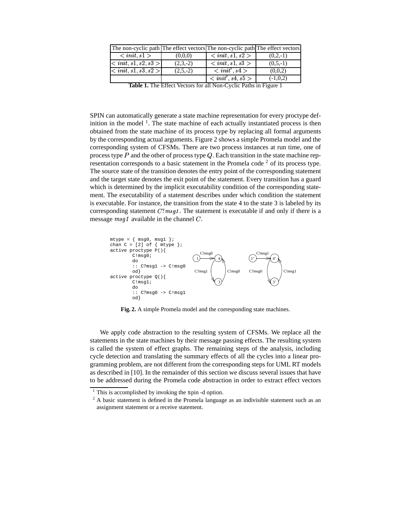| The non-cyclic path The effect vectors The non-cyclic path The effect vectors |            |                                 |            |
|-------------------------------------------------------------------------------|------------|---------------------------------|------------|
| $\langle init, s1 \rangle$                                                    | (0.0,0)    | $\langle init, s1, s2 \rangle$  | $(0,2,-1)$ |
| $\langle$ init, s1, s2, s3 $>$                                                | $(2,3,-2)$ | $\langle init, s1, s3 \rangle$  | $(0.5,-1)$ |
| $\langle$ init, s1, s3, s2 $>$                                                | $(2,5,-2)$ | $\langle init', s4 \rangle$     | (0.0.2)    |
|                                                                               |            | $\langle init', s4, s5 \rangle$ | $(-1,0,2)$ |

**Table 1.** The Effect Vectors for all Non-Cyclic Paths in Figure 1

SPIN can automatically generate a state machine representation for every proctype definition in the model  $<sup>1</sup>$ . The state machine of each actually instantiated process is then</sup> obtained from the state machine of its process type by replacing all formal arguments by the corresponding actual arguments. Figure 2 shows a simple Promela model and the corresponding system of CFSMs. There are two process instances at run time, one of process type  $P$  and the other of process type  $Q$ . Each transition in the state machine representation corresponds to a basic statement in the Promela code  $<sup>2</sup>$  of its process type.</sup> The source state of the transition denotes the entry point of the corresponding statement and the target state denotes the exit point of the statement. Every transition has a guard which is determined by the implicit executability condition of the corresponding statement. The executability of a statement describes under which condition the statement is executable. For instance, the transition from the state 4 to the state 3 is labeled by its corresponding statement  $C?msg1$ . The statement is executable if and only if there is a message  $msg1$  available in the channel  $C$ .



**Fig. 2.** A simple Promela model and the corresponding state machines.

We apply code abstraction to the resulting system of CFSMs. We replace all the statements in the state machines by their message passing effects. The resulting system is called the system of effect graphs. The remaining steps of the analysis, including cycle detection and translating the summary effects of all the cycles into a linear programming problem, are not different from the corresponding steps for UML RT models as described in [10]. In the remainder of this section we discuss several issues that have to be addressed during the Promela code abstraction in order to extract effect vectors

 $<sup>1</sup>$  This is accomplished by invoking the spin -d option.</sup>

<sup>&</sup>lt;sup>2</sup> A basic statement is defined in the Promela language as an indivisible statement such as an assignment statement or a receive statement.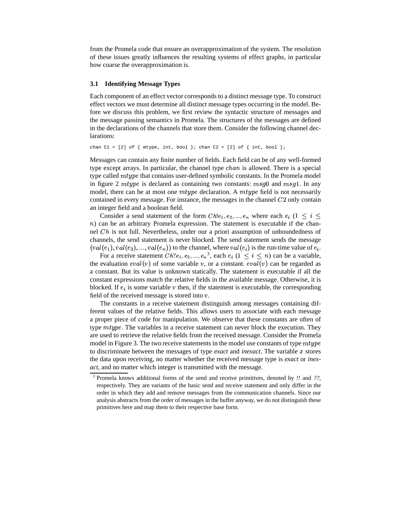from the Promela code that ensure an overapproximation of the system. The resolution of these issues greatly influences the resulting systems of effect graphs, in particular how coarse the overapproximation is.

#### **3.1 Identifying Message Types**

Each component of an effect vector corresponds to a distinct message type. To construct effect vectors we must determine all distinct message types occurring in the model. Before we discuss this problem, we first review the syntactic structure of messages and the message passing semantics in Promela. The structures of the messages are defined in the declarations of the channels that store them. Consider the following channel declarations:

chan C1 = [2] of { mtype, int, bool }; chan C2 = [2] of { int, bool };

Messages can contain any finite number of fields. Each field can be of any well-formed type except arrays. In particular, the channel type  $chan$  is allowed. There is a special type called  $mtype$  that contains user-defined symbolic constants. In the Promela model in figure 2 *mtype* is declared as containing two constants:  $msg0$  and  $msg1$ . In any model, there can be at most one  $mtype$  declaration. A  $mtype$  field is not necessarily contained in every message. For instance, the messages in the channel  $C2$  only contain an integer field and a boolean field.

Consider a send statement of the form  $Ch!e_1, e_2, ..., e_n$  where each  $e_i$  ( $1 \leq i \leq$  $n)$  can be an arbitrary Promela expression. The statement is executable if the channel  $Ch$  is not full. Nevertheless, under our a priori assumption of unboundedness of channels, the send statement is never blocked. The send statement sends the message  $( val(e_1), val(e_2), ..., val(e_n))$  to the channel, where  $val(e_i)$  is the run-time value of  $e_i$ .

For a receive statement  $Ch?e_1, e_2, ..., e_n^3$ , each  $e_i$   $(1 \le i \le n)$  can be a variable, the evaluation  $eval(v)$  of some variable v, or a constant.  $eval(v)$  can be regarded as a constant. But its value is unknown statically. The statement is executable if all the constant expressions match the relative fields in the available message. Otherwise, it is <sup>3</sup> blocked. If  $e_i$  is some variable  $v$  then, if the statement is executable, the corresponding field of the received message is stored into  $v$ .

The constants in a receive statement distinguish among messages containing different values of the relative fields. This allows users to associate with each message a proper piece of code for manipulation. We observe that these constants are often of type  $mtype$ . The variables in a receive statement can never block the execution. They are used to retrieve the relative fields from the received message. Consider the Promela model in Figure 3. The two receive statements in the model use constants of type  $mtype$ to discriminate between the messages of type *exact* and *inexact*. The variable  $x$  stores the data upon receiving, no matter whether the received message type is *exact* or *inexact*, and no matter which integer is transmitted with the message.

<sup>3</sup> Promela knows additional forms of the send and receive primitives, denoted by *!!* and *??*, respectively. They are variants of the basic send and receive statement and only differ in the order in which they add and remove messages from the communication channels. Since our analysis abstracts from the order of messages in the buffer anyway, we do not distinguish these primitives here and map them to their respective base form.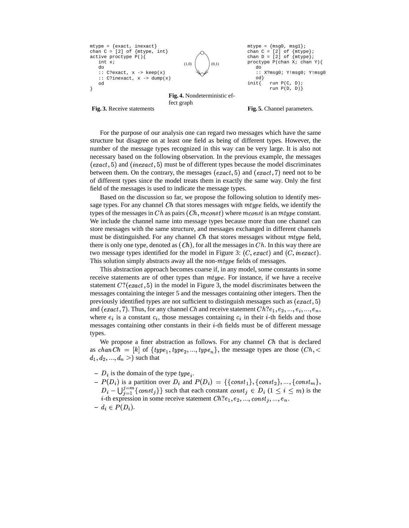

**Fig. 3.** Receive statements

**Fig. 4.** Nondeterministic effect graph

#### $mtype = {msg0, msg1};$ chan C = [2] of {mtype}; chan D = [2] of {mtype}; proctype P(chan X; chan Y){ do :: X?msg0; Y!msg0; Y!msg0 {do<br>}trin run  $P(C, D)$ ; run P(D, D)}

**Fig. 5.** Channel parameters.

For the purpose of our analysis one can regard two messages which have the same structure but disagree on at least one field as being of different types. However, the number of the message types recognized in this way can be very large. It is also not necessary based on the following observation. In the previous example, the messages  $(exact, 5)$  and  $(inexact, 5)$  must be of different types because the model discriminates between them. On the contrary, the messages  $(exact, 5)$  and  $(exact, 7)$  need not to be of different types since the model treats them in exactly the same way. Only the first field of the messages is used to indicate the message types.

Based on the discussion so far, we propose the following solution to identify message types. For any channel  $Ch$  that stores messages with  $mtype$  fields, we identify the types of the messages in  $Ch$  as pairs  $(Ch, mconst)$  where mconst is an mtype constant. We include the channel name into message types because more than one channel can store messages with the same structure, and messages exchanged in different channels must be distinguished. For any channel  $Ch$  that stores messages without *mtype* field, there is only one type, denoted as  $(Ch)$ , for all the messages in  $Ch$ . In this way there are two message types identified for the model in Figure 3:  $(C, exact)$  and  $(C, inexact)$ . This solution simply abstracts away all the non- $mtype$  fields of messages.

This abstraction approach becomes coarse if, in any model, some constants in some receive statements are of other types than  $mtype$ . For instance, if we have a receive statement  $C$ ? (*exact*, 5) in the model in Figure 3, the model discriminates between the messages containing the integer 5 and the messages containing other integers. Then the previously identified types are not sufficient to distinguish messages such as  $(exact, 5$ and (exact, 7). Thus, for any channel *Ch* and receive statement  $Ch?e_1, e_2, ..., e_i, ..., e_n$ , where  $e_i$  is a constant  $c_i$ , those messages containing  $c_i$  in their *i*-th fields and those messages containing other constants in their  $i$ -th fields must be of different message types.

We propose a finer abstraction as follows. For any channel  $Ch$  that is declared as  $\text{chan} \, Ch = [k]$  of  $\{ \text{type}_1, \text{type}_2 \}$ . . . .  $\{xye_n\}$ , the message types are those  $(Ch, \leq$  $d_1, d_2, ..., d_n >$  such that

- $-D_i$  is the domain of the type  $type_i$ .
- $-P(D_i)$  is a partition over  $D_i$  and  $P(D_i) = \{\{const_1\}, \{const_2, \}$  $, \{const_2\}, ..., \{cor$  $,\,...,\{const_{m}\},\$  $\blacksquare$  $\sqrt{n}$  $D_i = \prod_{i=1}^{j=m} \{const_i\}$  sue s a partition over  $D_i$  and  $P(D_i) = \{ \{const_1\}, \{const_2\}, ..., \{const_m\}, \}$ <br>  $j=m \{ const_j \}$  such that each constant  $const_j \in D_i$   $(1 \le i \le m)$  is the *i*-th expression in some receive statement  $Ch?e_1, e_2, ..., const_j, ..., e_n$ .
- $d_i \in P(D_i).$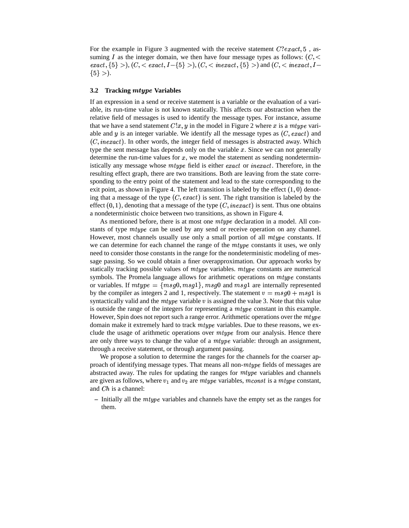For the example in Figure 3 augmented with the receive statement  $C$ ? $exact$ , 5, assuming *I* as the integer domain, we then have four message types as follows:  $(C, \leq)$  $\text{exact}, \{5\} >$ ),  $(C, \lt \text{exact}, I - \{5\} >)$ ,  $(C, \lt \text{inexact}, \{5\} >)$  and  $(C, \lt \text{inexact}, I \{5\}$  >).

#### **3.2 Tracking**  $mtype$  **Variables**

If an expression in a send or receive statement is a variable or the evaluation of a variable, its run-time value is not known statically. This affects our abstraction when the relative field of messages is used to identify the message types. For instance, assume that we have a send statement  $C!x, y$  in the model in Figure 2 where x is a mtype variable and y is an integer variable. We identify all the message types as  $(C, exact)$  and  $(C, \text{inexact})$ . In other words, the integer field of messages is abstracted away. Which type the sent message has depends only on the variable  $x$ . Since we can not generally determine the run-time values for  $x$ , we model the statement as sending nondeterministically any message whose  $mtype$  field is either  $exact$  or  $inexact$ . Therefore, in the resulting effect graph, there are two transitions. Both are leaving from the state corresponding to the entry point of the statement and lead to the state corresponding to the exit point, as shown in Figure 4. The left transition is labeled by the effect  $(1, 0)$  denoting that a message of the type  $(C, exact)$  is sent. The right transition is labeled by the effect  $(0, 1)$ , denoting that a message of the type  $(C, \text{inexact})$  is sent. Thus one obtains a nondeterministic choice between two transitions, as shown in Figure 4.

As mentioned before, there is at most one  $mtype$  declaration in a model. All constants of type *mtype* can be used by any send or receive operation on any channel. However, most channels usually use only a small portion of all  $mtype$  constants. If we can determine for each channel the range of the  $mtype$  constants it uses, we only need to consider those constants in the range for the nondeterministic modeling of message passing. So we could obtain a finer overapproximation. Our approach works by statically tracking possible values of  $mtype$  variables.  $mtype$  constants are numerical symbols. The Promela language allows for arithmetic operations on  $mtype$  constants or variables. If  $mtype = {msg0, msg1}, msg0 \text{ and } msg1 \text{ are internally represented}$ by the compiler as integers 2 and 1, respectively. The statement  $v = msg0 + msg1$  is syntactically valid and the  $mtype$  variable  $v$  is assigned the value 3. Note that this value is outside the range of the integers for representing a  $mtype$  constant in this example. However, Spin does not report such a range error. Arithmetic operations over the  $mtype$ domain make it extremely hard to track  $mtype$  variables. Due to these reasons, we exclude the usage of arithmetic operations over  $mtype$  from our analysis. Hence there are only three ways to change the value of a  $mtype$  variable: through an assignment, through a receive statement, or through argument passing.

We propose a solution to determine the ranges for the channels for the coarser approach of identifying message types. That means all non- $mtype$  fields of messages are abstracted away. The rules for updating the ranges for  $mtype$  variables and channels are given as follows, where  $v_1$  and  $v_2$  are mtype variables, monst is a mtype constant, and  $Ch$  is a channel:

- Initially all the *mtype* variables and channels have the empty set as the ranges for them.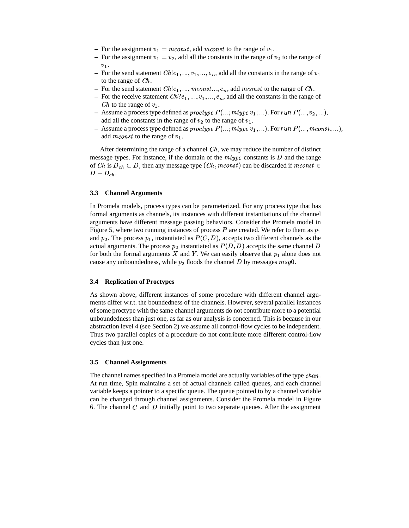- $\overline{\phantom{a}}$  For the assignment  $v_1 = mconst$ , add mconst to the range of  $v_1$ .
- For the assignment  $v_1 = v_2$ , add all the constants in the range of  $v_2$  to the range of  $v_1$ .
- For the send statement  $Ch!e_1, ..., v_1, ..., e_n$ , add all the constants in the range of  $v_1$ to the range of  $Ch$ .
- $-$  For the send statement  $Chle_1, ..., mconst..., e_n$ , add monst to the range of  $Ch$ .
- $-$  For the receive statement  $Ch?e_1, ..., v_1, ..., e_n$ , add all the constants in the range of *Ch* to the range of  $v_1$ .
- $-$  Assume a process type defined as *proctype*  $P(...; mtype v_1; ...)$ . For  $run P(..., v_2, ...)$ , add all the constants in the range of  $v_2$  to the range of  $v_1$ .
- $-$  Assume a process type defined as *proctype P*(...; mtype  $v_1$ , ...). For run *P*(..., mconst, ...), add *mconst* to the range of  $v_1$ .

After determining the range of a channel  $Ch$ , we may reduce the number of distinct message types. For instance, if the domain of the  $mtype$  constants is  $D$  and the range of Ch is  $D_{ch} \subset D$ , then any message type  $(Ch, mconst)$  can be discarded if mconst  $\in$  $D - D_{ch}.$ 

#### **3.3 Channel Arguments**

In Promela models, process types can be parameterized. For any process type that has formal arguments as channels, its instances with different instantiations of the channel arguments have different message passing behaviors. Consider the Promela model in Figure 5, where two running instances of process  $P$  are created. We refer to them as  $p_1$ and  $p_2$ . The process  $p_1$ , instantiated as  $P(C, D)$ , accepts two different channels as the actual arguments. The process  $p_2$  instantiated as  $P(D, D)$  accepts the same channel D for both the formal arguments X and Y. We can easily observe that  $p_1$  alone does not cause any unboundedness, while  $p_2$  floods the channel D by messages  $msg0$ .

#### **3.4 Replication of Proctypes**

As shown above, different instances of some procedure with different channel arguments differ w.r.t. the boundedness of the channels. However, several parallel instances of some proctype with the same channel arguments do not contribute more to a potential unboundedness than just one, as far as our analysis is concerned. This is because in our abstraction level 4 (see Section 2) we assume all control-flow cycles to be independent. Thus two parallel copies of a procedure do not contribute more different control-flow cycles than just one.

#### **3.5 Channel Assignments**

The channel names specified in a Promela model are actually variables of the type *chan*. At run time, Spin maintains a set of actual channels called queues, and each channel variable keeps a pointer to a specific queue. The queue pointed to by a channel variable can be changed through channel assignments. Consider the Promela model in Figure 6. The channel  $C$  and  $D$  initially point to two separate queues. After the assignment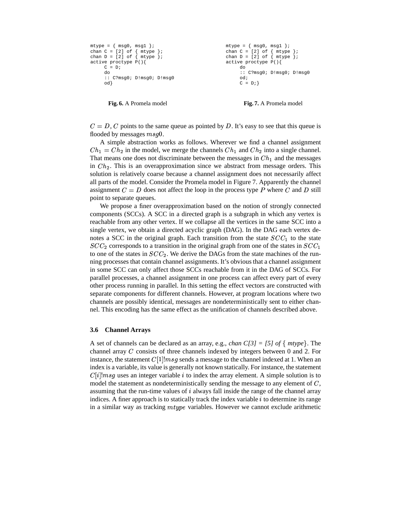```
mtype = { msg0, msg1 };chan C = [2] of \{ mtype \};<br>chan D = [2] of \{ mtype \};active proctype P(){
      C = Ddo
      :: C?msg0; D!msg0; D!msg0
      od}
                                                              mtype = { msg0, msg1 };chan C = [2] of { mtype };
chan D = [2] of { mtype };
                                                              active proctype P(){
                                                                    do
                                                                    :: C?msg0; D!msg0; D!msg0
                                                                     od;
                                                                     C = D; }
```
**Fig. 6.** A Promela model

**Fig. 7.** A Promela model

 $C = D$ , C points to the same queue as pointed by D. It's easy to see that this queue is flooded by messages  $msg0$ .

A simple abstraction works as follows. Wherever we find a channel assignment  $Ch_1 = Ch_2$  in the model, we merge the channels  $Ch_1$  and  $Ch_2$  into a single channel. That means one does not discriminate between the messages in  $Ch<sub>1</sub>$  and the messages in  $Ch_2$ . This is an overapproximation since we abstract from message orders. This solution is relatively coarse because a channel assignment does not necessarily affect all parts of the model. Consider the Promela model in Figure 7. Apparently the channel assignment  $C = D$  does not affect the loop in the process type P where C and D still point to separate queues.

We propose a finer overapproximation based on the notion of strongly connected components (SCCs). A SCC in a directed graph is a subgraph in which any vertex is reachable from any other vertex. If we collapse all the vertices in the same SCC into a single vertex, we obtain a directed acyclic graph (DAG). In the DAG each vertex denotes a SCC in the original graph. Each transition from the state  $SCC<sub>1</sub>$  to the state  $SCC<sub>2</sub>$  corresponds to a transition in the original graph from one of the states in  $SCC<sub>1</sub>$ to one of the states in  $SCC<sub>2</sub>$ . We derive the DAGs from the state machines of the running processes that contain channel assignments. It's obvious that a channel assignment in some SCC can only affect those SCCs reachable from it in the DAG of SCCs. For parallel processes, a channel assignment in one process can affect every part of every other process running in parallel. In this setting the effect vectors are constructed with separate components for different channels. However, at program locations where two channels are possibly identical, messages are nondeterministically sent to either channel. This encoding has the same effect as the unification of channels described above.

#### **3.6 Channel Arrays**

A set of channels can be declared as an array, e.g., *chan*  $C[3] = [5]$  of  $\{$  mtype $\}$ . The channel array  $C$  consists of three channels indexed by integers between  $0$  and  $2$ . For instance, the statement  $C[1]!msg$  sends a message to the channel indexed at 1. When an index is a variable, its value is generally not known statically. For instance, the statement  $C[i]!msg$  uses an integer variable i to index the array element. A simple solution is to model the statement as nondeterministically sending the message to any element of  $C$ , assuming that the run-time values of  $i$  always fall inside the range of the channel array indices. A finer approach is to statically track the index variable  $i$  to determine its range in a similar way as tracking  $mtype$  variables. However we cannot exclude arithmetic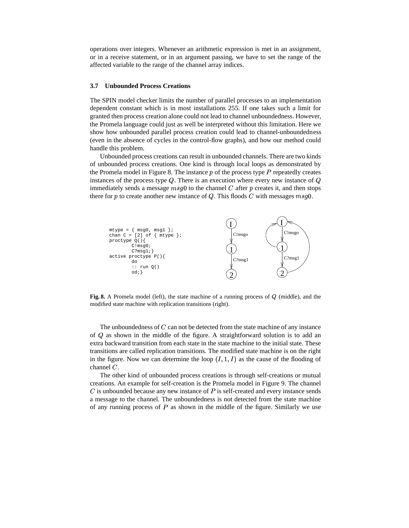operations over integers. Whenever an arithmetic expression is met in an assignment, or in a receive statement, or in an argument passing, we have to set the range of the affected variable to the range of the channel array indices.

#### **3.7 Unbounded Process Creations**

The SPIN model checker limits the number of parallel processes to an implementation dependent constant which is in most installations 255. If one takes such a limit for granted then process creation alone could not lead to channel unboundedness. However, the Promela language could just as well be interpreted without this limitation. Here we show how unbounded parallel process creation could lead to channel-unboundedness (even in the absence of cycles in the control-flow graphs), and how our method could handle this problem.

Unbounded process creations can result in unbounded channels. There are two kinds of unbounded process creations. One kind is through local loops as demonstrated by the Promela model in Figure 8. The instance  $p$  of the process type  $P$  repeatedly creates instances of the process type  $Q$ . There is an execution where every new instance of  $Q$ immediately sends a message  $msg0$  to the channel C after p creates it, and then stops there for p to create another new instance of Q. This floods C with messages  $msg0$ .



**Fig. 8.** A Promela model (left), the state machine of a running process of  $Q$  (middle), and the modified state machine with replication transitions (right).

The unboundedness of  $C$  can not be detected from the state machine of any instance of  $Q$  as shown in the middle of the figure. A straightforward solution is to add an extra backward transition from each state in the state machine to the initial state. These transitions are called replication transitions. The modified state machine is on the right in the figure. Now we can determine the loop  $(I, 1, I)$  as the cause of the flooding of channel  $C$ .

The other kind of unbounded process creations is through self-creations or mutual creations. An example for self-creation is the Promela model in Figure 9. The channel  $C$  is unbounded because any new instance of  $P$  is self-created and every instance sends a message to the channel. The unboundedness is not detected from the state machine of any running process of  $P$  as shown in the middle of the figure. Similarly we use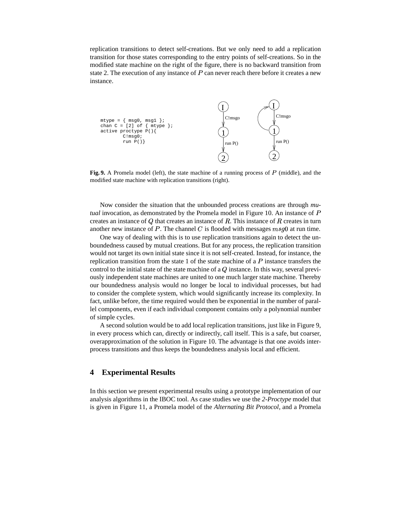replication transitions to detect self-creations. But we only need to add a replication transition for those states corresponding to the entry points of self-creations. So in the modified state machine on the right of the figure, there is no backward transition from state 2. The execution of any instance of  $P$  can never reach there before it creates a new instance.



Fig. 9. A Promela model (left), the state machine of a running process of  $P$  (middle), and the modified state machine with replication transitions (right).

Now consider the situation that the unbounded process creations are through *mutual* invocation, as demonstrated by the Promela model in Figure 10. An instance of P creates an instance of  $Q$  that creates an instance of  $R$ . This instance of  $R$  creates in turn another new instance of P. The channel C is flooded with messages  $msg0$  at run time.

One way of dealing with this is to use replication transitions again to detect the unboundedness caused by mutual creations. But for any process, the replication transition would not target its own initial state since it is not self-created. Instead, for instance, the replication transition from the state 1 of the state machine of a  $P$  instance transfers the control to the initial state of the state machine of a  $Q$  instance. In this way, several previously independent state machines are united to one much larger state machine. Thereby our boundedness analysis would no longer be local to individual processes, but had to consider the complete system, which would significantly increase its complexity. In fact, unlike before, the time required would then be exponential in the number of parallel components, even if each individual component contains only a polynomial number of simple cycles.

A second solution would be to add local replication transitions, just like in Figure 9, in every process which can, directly or indirectly, call itself. This is a safe, but coarser, overapproximation of the solution in Figure 10. The advantage is that one avoids interprocess transitions and thus keeps the boundedness analysis local and efficient.

# **4 Experimental Results**

In this section we present experimental results using a prototype implementation of our analysis algorithms in the IBOC tool. As case studies we use the *2-Proctype* model that is given in Figure 11, a Promela model of the *Alternating Bit Protocol*, and a Promela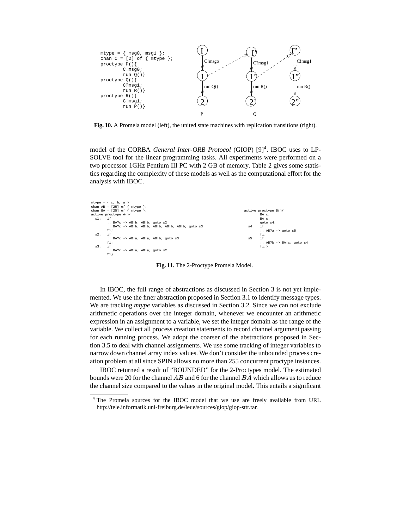

**Fig. 10.** A Promela model (left), the united state machines with replication transitions (right).

model of the CORBA *General Inter-ORB Protocol* (GIOP) [9]<sup>4</sup>. IBOC uses to LP-SOLVE tool for the linear programming tasks. All experiments were performed on a two processor 1GHz Pentium III PC with 2 GB of memory. Table 2 gives some statistics regarding the complexity of these models as well as the computational effort for the analysis with IBOC.

```
mtype = { c, b, a };
chan AB = [25] of { mtype };
chan BA = [25] of { mtype };
active proctype A(){
s1: if
          :: BA?c -> AB!b; AB!b; goto s2
          :: BA?c -> AB!b; AB!b; AB!b; AB!b; AB!b; goto s3
          fi;
  s2: if
          :: BA?c -> AB!a; AB!a; AB!b; goto s3
          fi;
  s3:
             BA?c -> AB!a; AB!a; goto s2
          fi}
                                                                                                      active proctype B(){
BA!c;
BA!c;
                                                                                                                goto s4;
                                                                                                        s4: if<br>\therefore \lambda P2sqoto s5
                                                                                                                fi;
                                                                                                        s5:
                                                                                                                    AB?b -> BA!c; goto s4
                                                                                                                 fi;}
```
**Fig. 11.** The 2-Proctype Promela Model.

In IBOC, the full range of abstractions as discussed in Section 3 is not yet implemented. We use the finer abstraction proposed in Section 3.1 to identify message types. We are tracking *mtype* variables as discussed in Section 3.2. Since we can not exclude arithmetic operations over the integer domain, whenever we encounter an arithmetic expression in an assignment to a variable, we set the integer domain as the range of the variable. We collect all process creation statements to record channel argument passing for each running process. We adopt the coarser of the abstractions proposed in Section 3.5 to deal with channel assignments. We use some tracking of integer variables to narrow down channel array index values. We don't consider the unbounded process creation problem at all since SPIN allows no more than 255 concurrent proctype instances.

IBOC returned a result of "BOUNDED" for the 2-Proctypes model. The estimated bounds were 20 for the channel  $AB$  and 6 for the channel  $BA$  which allows us to reduce the channel size compared to the values in the original model. This entails a significant

<sup>&</sup>lt;sup>4</sup> The Promela sources for the IBOC model that we use are freely available from URL http://tele.informatik.uni-freiburg.de/leue/sources/giop/giop-sttt.tar.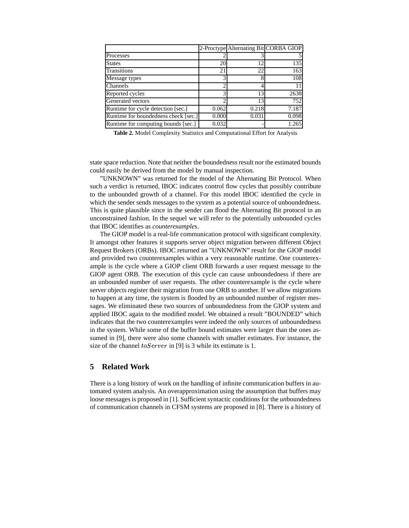|                                      |       |       | 2-Proctype Alternating Bit CORBA GIOP |
|--------------------------------------|-------|-------|---------------------------------------|
| Processes                            |       |       |                                       |
| <b>States</b>                        | 20    | 12    | 135                                   |
| <b>Transitions</b>                   | 21    | 22    | 163                                   |
| Message types                        |       |       | 108                                   |
| Channels                             |       |       |                                       |
| Reported cycles                      |       | 13    | 2638                                  |
| Generated vectors                    |       | 13    | 752                                   |
| Runtime for cycle detection [sec.]   | 0.062 | 0.218 | 7.187                                 |
| Runtime for boundedness check [sec.] | 0.000 | 0.031 | 0.098                                 |
| Runtime for computing bounds [sec.]  | 0.032 |       | 1.265                                 |

**Table 2.** Model Complexity Statistics and Computational Effort for Analysis

state space reduction. Note that neither the boundedness result nor the estimated bounds could easily be derived from the model by manual inspection.

"UNKNOWN" was returned for the model of the Alternating Bit Protocol. When such a verdict is returned, IBOC indicates control flow cycles that possibly contribute to the unbounded growth of a channel. For this model IBOC identified the cycle in which the sender sends messages to the system as a potential source of unboundedness. This is quite plausible since in the sender can flood the Alternating Bit protocol in an unconstrained fashion. In the sequel we will refer to the potentially unbounded cycles that IBOC identifies as *counterexamples*.

The GIOP model is a real-life communication protocol with significant complexity. It amongst other features it supports server object migration between different Object Request Brokers (ORBs). IBOC returned an "UNKNOWN" result for the GIOP model and provided two counterexamples within a very reasonable runtime. One counterexample is the cycle where a GIOP client ORB forwards a user request message to the GIOP agent ORB. The execution of this cycle can cause unboundedness if there are an unbounded number of user requests. The other counterexample is the cycle where server objects register their migration from one ORB to another. If we allow migrations to happen at any time, the system is flooded by an unbounded number of register messages. We eliminated these two sources of unboundedness from the GIOP system and applied IBOC again to the modified model. We obtained a result "BOUNDED" which indicates that the two counterexamples were indeed the only sources of unboundedness in the system. While some of the buffer bound estimates were larger than the ones assumed in [9], there were also some channels with smaller estimates. For instance, the size of the channel  $toServer$  in [9] is 3 while its estimate is 1.

# **5 Related Work**

There is a long history of work on the handling of infinite communication buffers in automated system analysis. An overapproximation using the assumption that buffers may loose messages is proposed in [1]. Sufficient syntactic conditions for the *un*boundedness of communication channels in CFSM systems are proposed in [8]. There is a history of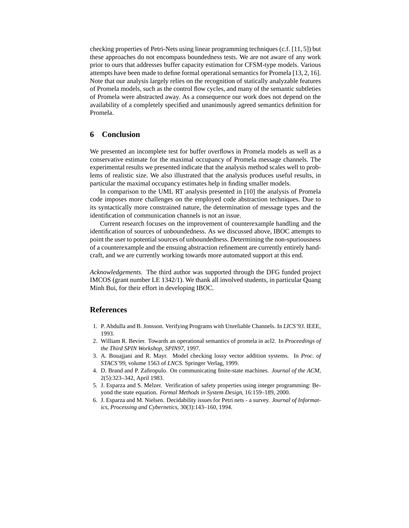checking properties of Petri-Nets using linear programming techniques (c.f. [11, 5]) but these approaches do not encompass boundedness tests. We are not aware of any work prior to ours that addresses buffer capacity estimation for CFSM-type models. Various attempts have been made to define formal operational semantics for Promela [13, 2, 16]. Note that our analysis largely relies on the recognition of statically analyzable features of Promela models, such as the control flow cycles, and many of the semantic subtleties of Promela were abstracted away. As a consequence our work does not depend on the availability of a completely specified and unanimously agreed semantics definition for Promela.

# **6 Conclusion**

We presented an incomplete test for buffer overflows in Promela models as well as a conservative estimate for the maximal occupancy of Promela message channels. The experimental results we presented indicate that the analysis method scales well to problems of realistic size. We also illustrated that the analysis produces useful results, in particular the maximal occupancy estimates help in finding smaller models.

In comparison to the UML RT analysis presented in [10] the analysis of Promela code imposes more challenges on the employed code abstraction techniques. Due to its syntactically more constrained nature, the determination of message types and the identification of communication channels is not an issue.

Current research focuses on the improvement of counterexample handling and the identification of sources of unboundedness. As we discussed above, IBOC attempts to point the user to potential sources of unboundedness. Determining the non-spuriousness of a counterexample and the ensuing abstraction refinement are currently entirely handcraft, and we are currently working towards more automated support at this end.

*Acknowledgements.* The third author was supported through the DFG funded project IMCOS (grant number LE 1342/1). We thank all involved students, in particular Quang Minh Bui, for their effort in developing IBOC.

### **References**

- 1. P. Abdulla and B. Jonsson. Verifying Programs with Unreliable Channels. In *LICS'93*. IEEE, 1993.
- 2. William R. Bevier. Towards an operational semantics of promela in acl2. In *Proceedings of the Third SPIN Workshop, SPIN97*, 1997.
- 3. A. Bouajjani and R. Mayr. Model checking lossy vector addition systems. In *Proc. of STACS'99*, volume 1563 of *LNCS*. Springer Verlag, 1999.
- 4. D. Brand and P. Zafiropulo. On communicating finite-state machines. *Journal of the ACM*, 2(5):323–342, April 1983.
- 5. J. Esparza and S. Melzer. Verification of safety properties using integer programming: Beyond the state equation. *Formal Methods in System Design*, 16:159–189, 2000.
- 6. J. Esparza and M. Nielsen. Decidability issues for Petri nets a survey. *Journal of Informatics, Processing and Cybernetics*, 30(3):143–160, 1994.